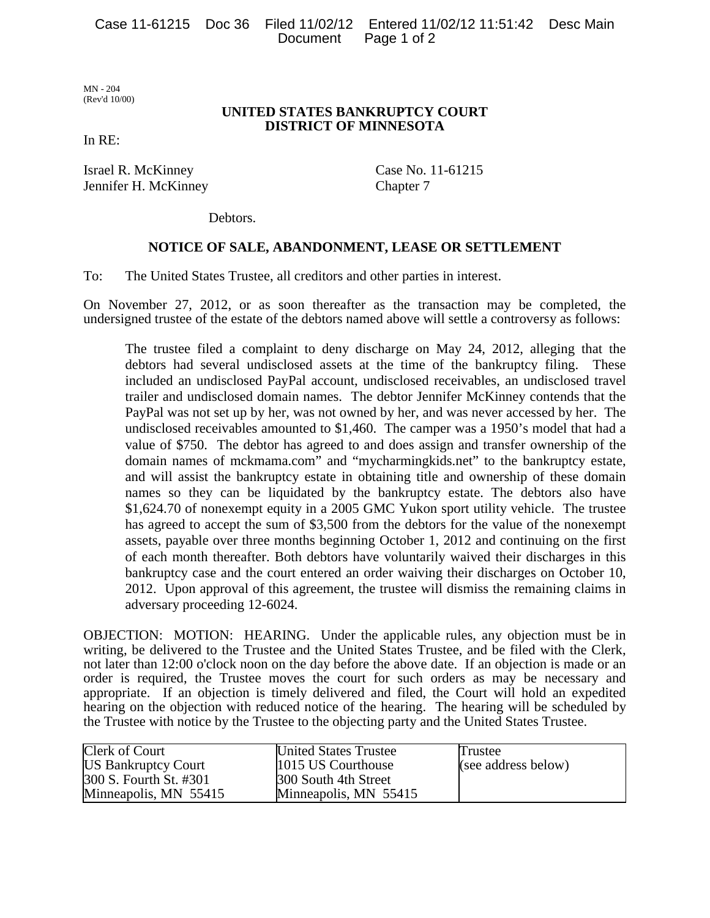MN - 204 (Rev'd 10/00)

## **UNITED STATES BANKRUPTCY COURT DISTRICT OF MINNESOTA**

In RE:

Israel R. McKinney Case No. 11-61215 Jennifer H. McKinney Chapter 7

Debtors.

## **NOTICE OF SALE, ABANDONMENT, LEASE OR SETTLEMENT**

To: The United States Trustee, all creditors and other parties in interest.

On November 27, 2012, or as soon thereafter as the transaction may be completed, the undersigned trustee of the estate of the debtors named above will settle a controversy as follows:

The trustee filed a complaint to deny discharge on May 24, 2012, alleging that the debtors had several undisclosed assets at the time of the bankruptcy filing. These included an undisclosed PayPal account, undisclosed receivables, an undisclosed travel trailer and undisclosed domain names. The debtor Jennifer McKinney contends that the PayPal was not set up by her, was not owned by her, and was never accessed by her. The undisclosed receivables amounted to \$1,460. The camper was a 1950's model that had a value of \$750. The debtor has agreed to and does assign and transfer ownership of the domain names of mckmama.com" and "mycharmingkids.net" to the bankruptcy estate, and will assist the bankruptcy estate in obtaining title and ownership of these domain names so they can be liquidated by the bankruptcy estate. The debtors also have \$1,624.70 of nonexempt equity in a 2005 GMC Yukon sport utility vehicle. The trustee has agreed to accept the sum of \$3,500 from the debtors for the value of the nonexempt assets, payable over three months beginning October 1, 2012 and continuing on the first of each month thereafter. Both debtors have voluntarily waived their discharges in this bankruptcy case and the court entered an order waiving their discharges on October 10, 2012. Upon approval of this agreement, the trustee will dismiss the remaining claims in adversary proceeding 12-6024.

OBJECTION: MOTION: HEARING. Under the applicable rules, any objection must be in writing, be delivered to the Trustee and the United States Trustee, and be filed with the Clerk, not later than 12:00 o'clock noon on the day before the above date. If an objection is made or an order is required, the Trustee moves the court for such orders as may be necessary and appropriate. If an objection is timely delivered and filed, the Court will hold an expedited hearing on the objection with reduced notice of the hearing. The hearing will be scheduled by the Trustee with notice by the Trustee to the objecting party and the United States Trustee.

| <b>Clerk of Court</b>      | <b>United States Trustee</b> | Trustee             |
|----------------------------|------------------------------|---------------------|
| <b>US Bankruptcy Court</b> | 1015 US Courthouse           | (see address below) |
| 300 S. Fourth St. #301     | 300 South 4th Street         |                     |
| Minneapolis, MN 55415      | Minneapolis, MN 55415        |                     |